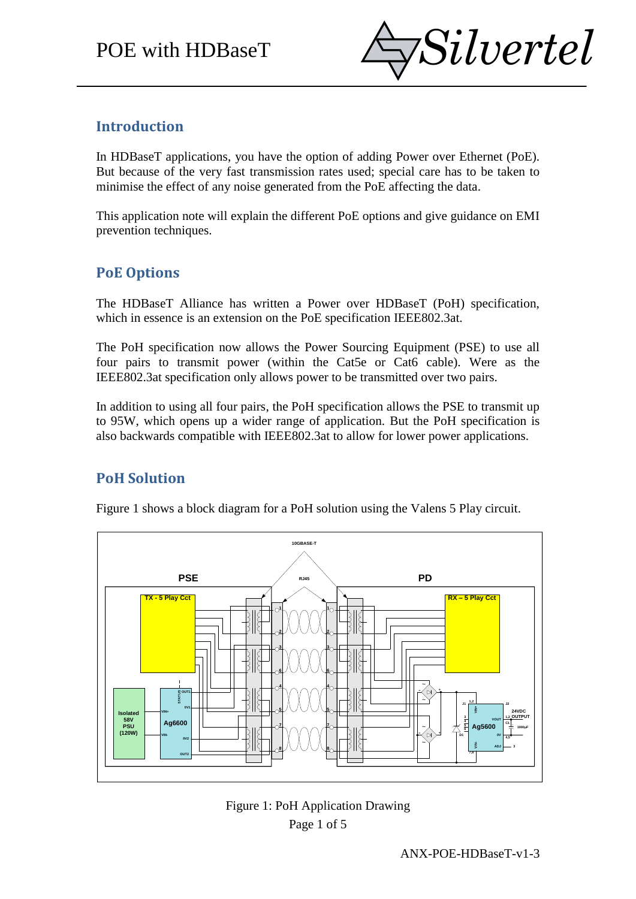

## **Introduction**

In HDBaseT applications, you have the option of adding Power over Ethernet (PoE). But because of the very fast transmission rates used; special care has to be taken to minimise the effect of any noise generated from the PoE affecting the data.

This application note will explain the different PoE options and give guidance on EMI prevention techniques.

## **PoE Options**

The HDBaseT Alliance has written a Power over HDBaseT (PoH) specification, which in essence is an extension on the PoE specification IEEE802.3at.

The PoH specification now allows the Power Sourcing Equipment (PSE) to use all four pairs to transmit power (within the Cat5e or Cat6 cable). Were as the IEEE802.3at specification only allows power to be transmitted over two pairs.

In addition to using all four pairs, the PoH specification allows the PSE to transmit up to 95W, which opens up a wider range of application. But the PoH specification is also backwards compatible with IEEE802.3at to allow for lower power applications.

# **PoH Solution**

Figure 1 shows a block diagram for a PoH solution using the Valens 5 Play circuit.



Page 1 of 5 Figure 1: PoH Application Drawing

ANX-POE-HDBaseT-v1-3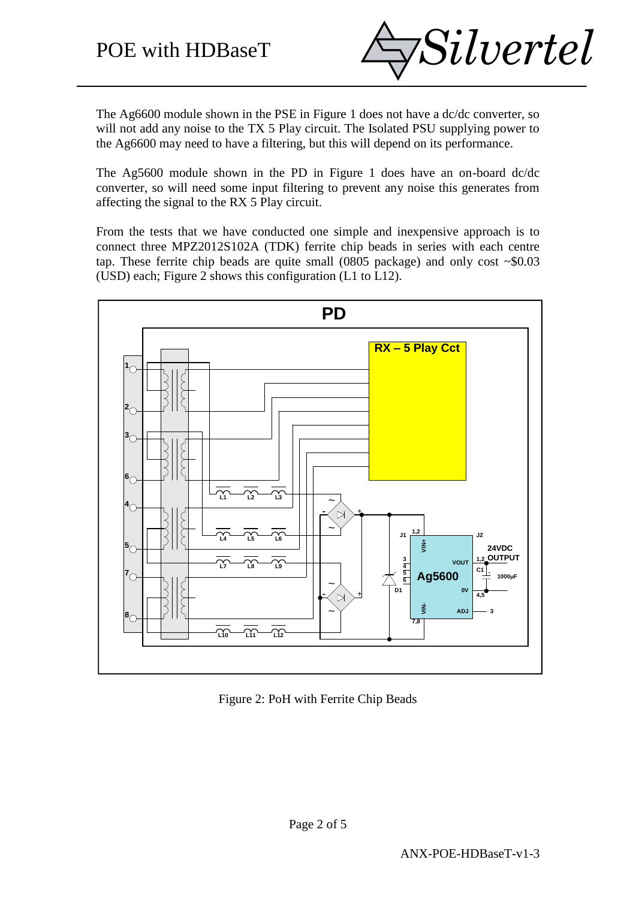

The Ag6600 module shown in the PSE in Figure 1 does not have a dc/dc converter, so will not add any noise to the TX 5 Play circuit. The Isolated PSU supplying power to the Ag6600 may need to have a filtering, but this will depend on its performance.

The Ag5600 module shown in the PD in Figure 1 does have an on-board dc/dc converter, so will need some input filtering to prevent any noise this generates from affecting the signal to the RX 5 Play circuit.

From the tests that we have conducted one simple and inexpensive approach is to connect three MPZ2012S102A (TDK) ferrite chip beads in series with each centre tap. These ferrite chip beads are quite small (0805 package) and only cost  $\sim$ \$0.03 (USD) each; Figure 2 shows this configuration (L1 to L12).



Figure 2: PoH with Ferrite Chip Beads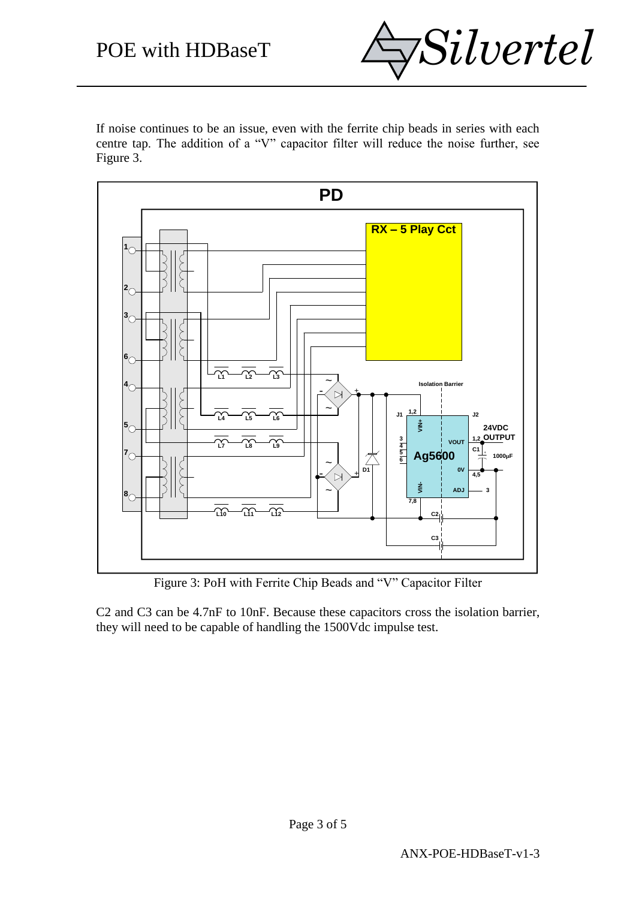

If noise continues to be an issue, even with the ferrite chip beads in series with each centre tap. The addition of a "V" capacitor filter will reduce the noise further, see Figure 3.



Figure 3: PoH with Ferrite Chip Beads and "V" Capacitor Filter

C2 and C3 can be 4.7nF to 10nF. Because these capacitors cross the isolation barrier, they will need to be capable of handling the 1500Vdc impulse test.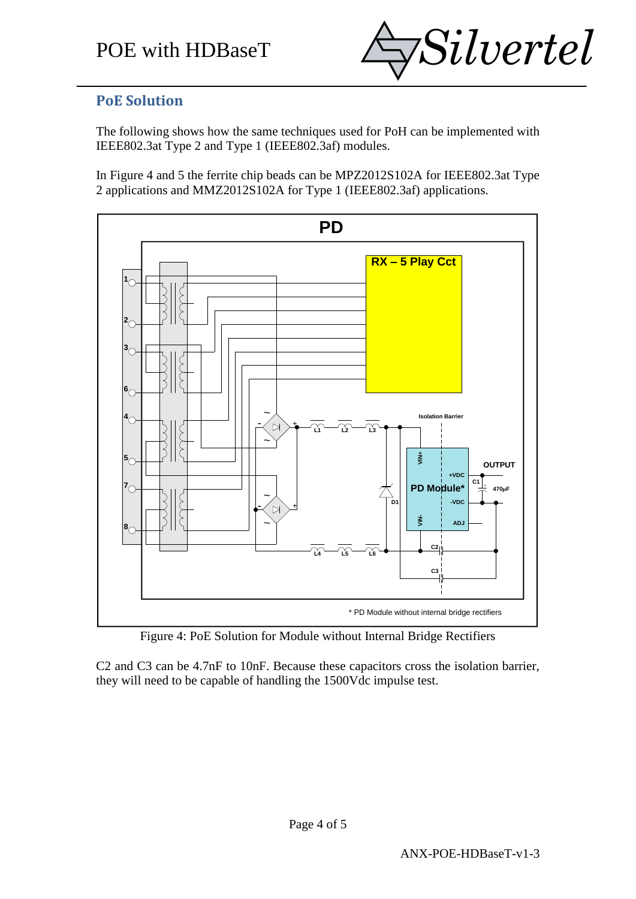

#### **PoE Solution**

The following shows how the same techniques used for PoH can be implemented with IEEE802.3at Type 2 and Type 1 (IEEE802.3af) modules.

In Figure 4 and 5 the ferrite chip beads can be MPZ2012S102A for IEEE802.3at Type 2 applications and MMZ2012S102A for Type 1 (IEEE802.3af) applications.



Figure 4: PoE Solution for Module without Internal Bridge Rectifiers

C2 and C3 can be 4.7nF to 10nF. Because these capacitors cross the isolation barrier, they will need to be capable of handling the 1500Vdc impulse test.